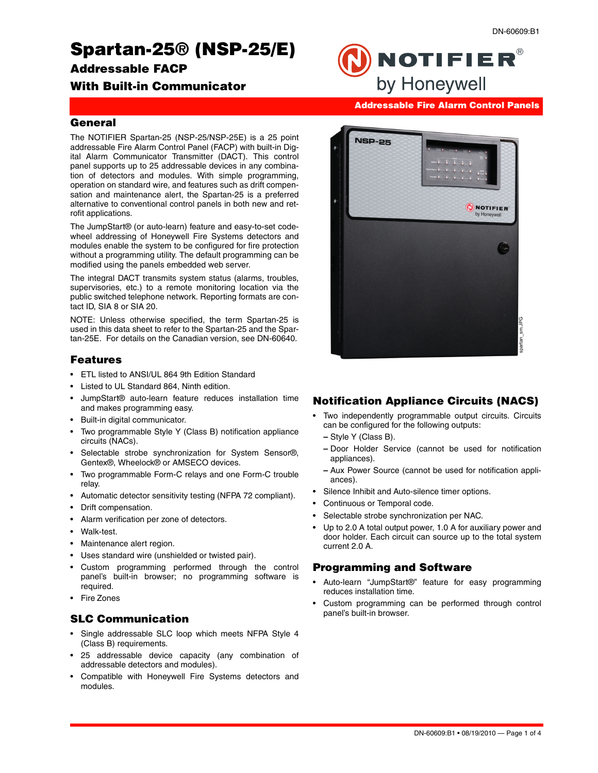# **Spartan-25® (NSP-25/E)**

**Addressable FACP** 

# **With Built-in Communicator**

**Addressable Fire Alarm Control Panels**

by Honeywell

**NOTIFIER®** 

#### **General**

The NOTIFIER Spartan-25 (NSP-25/NSP-25E) is a 25 point addressable Fire Alarm Control Panel (FACP) with built-in Digital Alarm Communicator Transmitter (DACT). This control panel supports up to 25 addressable devices in any combination of detectors and modules. With simple programming, operation on standard wire, and features such as drift compensation and maintenance alert, the Spartan-25 is a preferred alternative to conventional control panels in both new and retrofit applications.

The JumpStart® (or auto-learn) feature and easy-to-set codewheel addressing of Honeywell Fire Systems detectors and modules enable the system to be configured for fire protection without a programming utility. The default programming can be modified using the panels embedded web server.

The integral DACT transmits system status (alarms, troubles, supervisories, etc.) to a remote monitoring location via the public switched telephone network. Reporting formats are contact ID, SIA 8 or SIA 20.

NOTE: Unless otherwise specified, the term Spartan-25 is used in this data sheet to refer to the Spartan-25 and the Spartan-25E. For details on the Canadian version, see DN-60640.

## **Features**

- ETL listed to ANSI/UL 864 9th Edition Standard
- Listed to UL Standard 864, Ninth edition.
- JumpStart® auto-learn feature reduces installation time and makes programming easy.
- Built-in digital communicator.
- Two programmable Style Y (Class B) notification appliance circuits (NACs).
- Selectable strobe synchronization for System Sensor®, Gentex®, Wheelock® or AMSECO devices.
- Two programmable Form-C relays and one Form-C trouble relay.
- Automatic detector sensitivity testing (NFPA 72 compliant).
- Drift compensation.
- Alarm verification per zone of detectors.
- Walk-test.
- Maintenance alert region.
- Uses standard wire (unshielded or twisted pair).
- Custom programming performed through the control panel's built-in browser; no programming software is required.
- Fire Zones

# **SLC Communication**

- Single addressable SLC loop which meets NFPA Style 4 (Class B) requirements.
- 25 addressable device capacity (any combination of addressable detectors and modules).
- Compatible with Honeywell Fire Systems detectors and modules.



# **Notification Appliance Circuits (NACS)**

- Two independently programmable output circuits. Circuits can be configured for the following outputs:
	- **–** Style Y (Class B).
	- **–** Door Holder Service (cannot be used for notification appliances).
	- **–** Aux Power Source (cannot be used for notification appliances).
- Silence Inhibit and Auto-silence timer options.
- Continuous or Temporal code.
- Selectable strobe synchronization per NAC.
- Up to 2.0 A total output power, 1.0 A for auxiliary power and door holder. Each circuit can source up to the total system current 2.0 A.

## **Programming and Software**

- Auto-learn "JumpStart®" feature for easy programming reduces installation time.
- Custom programming can be performed through control panel's built-in browser.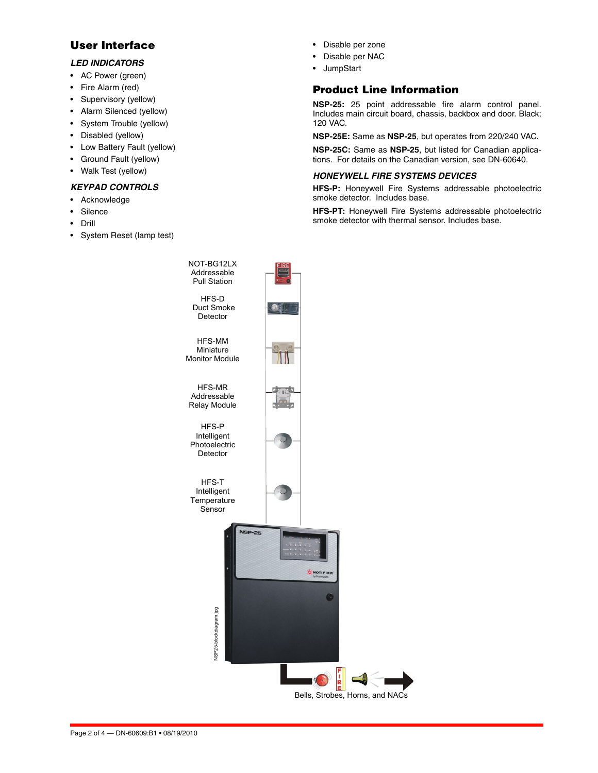# **User Interface**

#### *LED INDICATORS*

- AC Power (green)
- Fire Alarm (red)
- Supervisory (yellow)
- Alarm Silenced (yellow)
- System Trouble (yellow)
- Disabled (yellow)
- Low Battery Fault (yellow)
- Ground Fault (yellow)
- Walk Test (yellow)

## *KEYPAD CONTROLS*

- Acknowledge
- **Silence**
- Drill
- System Reset (lamp test)
- Disable per zone
- Disable per NAC
- JumpStart

# **Product Line Information**

**NSP-25:** 25 point addressable fire alarm control panel. Includes main circuit board, chassis, backbox and door. Black; 120 VAC.

**NSP-25E:** Same as **NSP-25**, but operates from 220/240 VAC.

**NSP-25C:** Same as **NSP-25**, but listed for Canadian applications. For details on the Canadian version, see DN-60640.

#### *HONEYWELL FIRE SYSTEMS DEVICES*

**HFS-P:** Honeywell Fire Systems addressable photoelectric smoke detector. Includes base.

**HFS-PT:** Honeywell Fire Systems addressable photoelectric smoke detector with thermal sensor. Includes base.

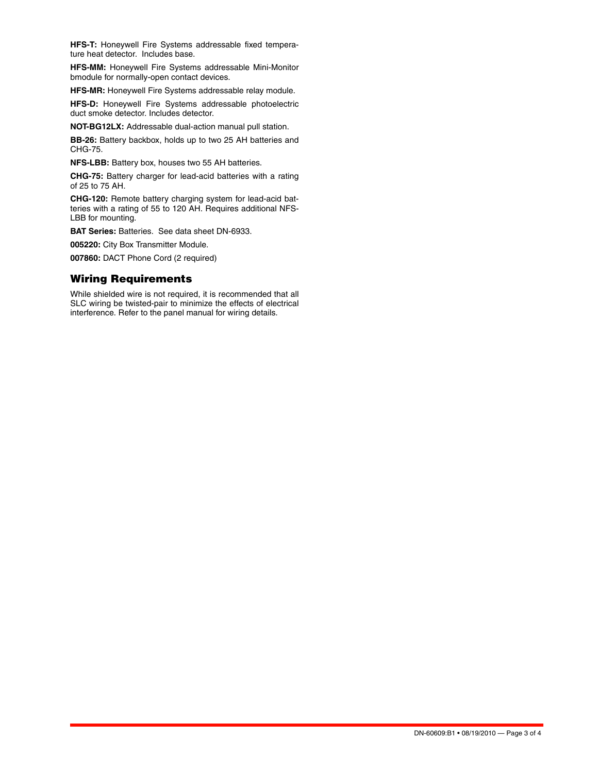**HFS-T:** Honeywell Fire Systems addressable fixed temperature heat detector. Includes base.

**HFS-MM:** Honeywell Fire Systems addressable Mini-Monitor bmodule for normally-open contact devices.

**HFS-MR:** Honeywell Fire Systems addressable relay module.

**HFS-D:** Honeywell Fire Systems addressable photoelectric duct smoke detector. Includes detector.

**NOT-BG12LX:** Addressable dual-action manual pull station.

**BB-26:** Battery backbox, holds up to two 25 AH batteries and CHG-75.

**NFS-LBB:** Battery box, houses two 55 AH batteries.

**CHG-75:** Battery charger for lead-acid batteries with a rating of 25 to 75 AH.

**CHG-120:** Remote battery charging system for lead-acid batteries with a rating of 55 to 120 AH. Requires additional NFS-LBB for mounting.

**BAT Series:** Batteries. See data sheet DN-6933.

**005220:** City Box Transmitter Module.

**007860:** DACT Phone Cord (2 required)

#### **Wiring Requirements**

While shielded wire is not required, it is recommended that all SLC wiring be twisted-pair to minimize the effects of electrical interference. Refer to the panel manual for wiring details.